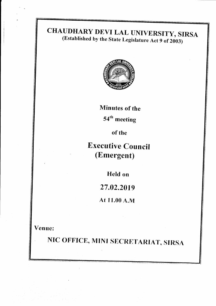# CHAUDHARY DEVI LAL UNIVERSITY, SIRSA<br>(Established by the State Legislature Act 9 of 2003)



Minutes of the

54'h meeting

of the

Executive Council (Emergent)

Held on

27.02.2019

At I 1.00 A.M

Venue:

NIC OFFICE, MINI SECRETARIAT, SIRSA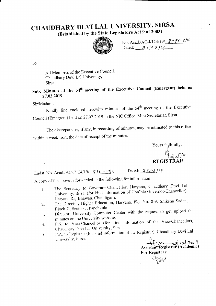## CHAUDHARY DEVI LAL UNIVERSITY, SIRSA

(Established by the State Legislature Act 9 of 2003)



No. Acad./AC-I/124/19/  $\frac{\sqrt{96} - \sqrt{5}}{10}$ <br>Dated:  $\frac{9 \sqrt{5}}{2}$ /19

To

All Members of the Executive Council, Chaudhary Devi Lal University, **Sirsa** 

Sub: Minutes of the 54<sup>th</sup> meeting of the Executive Council (Emergent) held on 27.02.2019.

Sir/Madam,

Kindly find enclosed herewith minutes of the 54<sup>th</sup> meeting of the Executive Council (Emergent) held on 27.02.2019 in the NIC Office, Mini Secretariat, Sirsa.

The discrepancies, if any, in recording of minutes, may be intimated to this office within a week from the date of receipt of the minutes.

> Yours fajthfully, **REGISTRA**

Endst. No. Acad./AC-I/124/19/ $\frac{\mathscr{L}}{1!}$  -  $\frac{\mathscr{L}}{1!}$  -  $\frac{\mathscr{L}}{1!}$  -  $\frac{\mathscr{L}}{1!}$ Dated:  $28/21/9$ 

A copy of the above is forwarded to the following for information:

- The Secretary to Governor-Chancellor, Haryana, Chaudhary Devi Lal  $\mathbf{I}$ . University, Sirsa. (for kind information of Hon'ble Governor-Chancellor), Haryana Raj Bhawan, Chandigarh.
- The Director, Higher Education, Haryana, Plot No. 8-9, Shiksha Sadan, 2. Block-C, Sector-5, Panchkula.
- Director, University Computer Center with the request to get upload the 3. minutes on the University website.
- P.S. to Vice-Chancellor (for kind information of the Vice-Chancellor), 4. Chaudhary Devi Lal University, Sirsa.
- P.A. to Registrar (for kind information of the Registrar), Chaudhary Devi Lal 5. University, Sirsa.

Assistant Registrar (Academic) **For Registrar** 

Clay (x118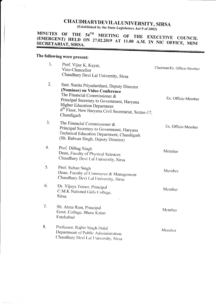## CHAUDHARYDEVILALUNIVERSITY, SIRSA

(Established by the State Legislature Act 9 of 2003)

#### MINUTES OF THE  $54^{TH}$  MEETING OF THE EXECUTIVE COUNCIL (EMERGENT) HELD ON 27.02.2019 AT 11.00 A.M. IN NIC OFFICE, MINI SECRETARIAT, SIRSA.

#### The following were present:

| 1. | Prof. Vijay K. Kayat,<br>Vice-Chancellor<br>Chaudhary Devi Lal University, Sirsa                                                                                                                                                                                                     | Chairman/Ex. Officio Member |
|----|--------------------------------------------------------------------------------------------------------------------------------------------------------------------------------------------------------------------------------------------------------------------------------------|-----------------------------|
| 2. | Smt. Sunita Priyadarshani, Deputy Director<br>(Nominee) on Video Conference<br>The Financial Commissioner $\&$<br>Principal Secretary to Government, Haryana<br><b>Higher Education Department</b><br>6 <sup>th</sup> Floor, New Haryana Civil Secretariat, Sector-17,<br>Chandigarh | Ex. Officio Member          |
| 3. | The Financial Commissioner $\&$<br>Principal Secretary to Government, Haryana<br>Technical Education Department, Chandigarh<br>(Sh. Balwan Singh, Deputy Director)                                                                                                                   | Ex. Officio Member          |
| 4. | Prof. Dilbag Singh<br>Dean, Faculty of Physical Sciences<br>Chaudhary Devi Lal University, Sirsa                                                                                                                                                                                     | Member                      |
| 5. | Prof. Sultan Singh<br>Dean, Faculty of Commerce & Management<br>Chaudhary Devi Lal University, Sirsa                                                                                                                                                                                 | Member                      |
| 6. | Dr. Vijaya Tomer, Principal<br>C.M.K National Girls College,<br>Sirsa.                                                                                                                                                                                                               | Member                      |
| 7. | Sh. Atma Ram, Principal<br>Govt. College, Bhatu Kalan<br>Fatehabad                                                                                                                                                                                                                   | Member                      |
| 8. | Professor, Rajbir Singh Dalal<br>Department of Public Administration<br>Chaudhary Devi Lal University, Sirsa                                                                                                                                                                         | Member                      |
|    |                                                                                                                                                                                                                                                                                      |                             |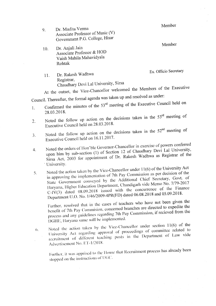Member

Member

Dr. Mudita Verma 9. Associate Professor of Music (V) Government P.G. College, Hisar

Dr. Anjali Jain 10. Associate Professor & HOD Vaish Mahila Mahavidyala Rohtak

Ex. Officio Secretary

Dr. Rakesh Wadhwa  $11.$ Registrar. Chaudhary Devi Lal University, Sirsa

At the outset, the Vice-Chancellor welcomed the Members of the Executive

Council. Thereafter, the formal agenda was taken up and resolved as under:

- Confirmed the minutes of the 53<sup>rd</sup> meeting of the Executive Council held on 1. 28.03.2018.
- Noted the follow up action on the decisions taken in the 53<sup>rd</sup> meeting of 2. Executive Council held on 28.03.2018.
- Noted the follow up action on the decisions taken in the 52<sup>nd</sup> meeting of  $3.$ Executive Council held on 16.11.2017.
- Noted the orders of Hon'ble Governor-Chancellor in exercise of powers conferred upon him by sub-section (1) of Section 12 of Chaudhary Devi Lal University,  $4.$ Sirsa Act, 2003 for appointment of Dr. Rakesh Wadhwa as Registrar of the University.
- Noted the action taken by the Vice-Chancellor under 11(6) of the University Act in approving the implementation of 7th Pay Commission as per decision of the 5. State Government conveyed by the Additional Chief Secretary, Govt. of Haryana, Higher Education Department, Chandigarh vide Memo No. 7/79-2017  $C-IV(3)$  dated 08.09.2018 issued with the concurrence of the Finance Department U.O. No. 1/46/2009-4PR(FD) dated 06.08.2018 and 05.09.2018.

Further, resolved that in the cases of teachers who have not been given the benefit of 7th Pay Commision, concerned branches are directed to expedite the process and any guidelines regarding 7th Pay Commission, if recieved from the DGHE, Haryana same will be implemented.

Noted the action taken by the Vice-Chancellor under section 11(6) of the University Act regarding approval of proceedings of committee related to  $\mathfrak{b}.$ recruitment of different teaching posts in the Department of Law vide Advertisement No. ET-1/2018.

Further, it was apprised to the House that Recruitment process has already been stopped on the instructions of UGC.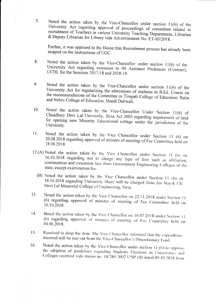Noted the action taken by the Vice-Chancellor under section  $11(6)$  of the  $7.$ University Act regarding approval of proceedings of committee related to recruitment of Teachers in various University Teaching Departments, Librarian & Deputy Librarian for Library vide Advertisement No. ET-03/2018.

Further, it was apprised to the House that Recruitment process has already been stopped on the instructions of UGC.

- Noted the action taken by the Vice-Chancellor under section 11(6) of the 8. University Act regarding extension to 04 Assistant Professors (Contract), UCDL for the Sessions  $2017-18$  and  $2018-19$ .
- Noted the action taken by the Vice-Chancellor under section  $11(6)$  of the 9. University Act for regularizing the admissions of students in B.Ed. Course on the recommendations of the Committee in Tirupati College of Education, Ratia and Nehru College of Education, Mandi Dabwali.
- Noted the action taken by the Vice-Chancellor Under Section 11(6) of 10. Chaudhary Devi Lal University, Sirsa Act 2003 regarding requirement of land for opening new Minority Educational college under the jurisdiction of the University.
- Noted the action taken by the Vice Chancellor under Section 11 (6) on 11. 20.08.2018 regarding approval of minutes of meeting of Fee Committee held on 18.08.2018.
- 12.(A) Noted the action taken by the Vice Chancellor under Section 11 (6) on 16.10.2018 regarding not to charge any type of fees such as affiliation, continuation and extension fees from Government Engineering Colleges of the state, except examination fee.
	- (B) Noted the action taken by the Vice Chancellor under Section 11 (6) on 16.10.2018 regarding University Share will be charged from Jan Nayak Ch. Devi Lal Memorial College of Engineering, Sirsa.
- Noted the action taken by the Vice Chancellor on 22.11.2018 under Section 11 13. (6) regarding approval of minutes of meeting of Fee Committee held on 30.10.2018.
- Noted the action taken by the Vice Chancellor on 10.07.2018 under Section 11 14. (6) regarding approval of minutes of meeting of Fee Committee held on 04.06.2018.
- Resolved to drop the item. The Vice Chancellor informed that the expenditure 15. incurred will be met out from the Vice-Chancellor's Discretionary Fund.
- Noted the action taken by the Vice-Chancellor under section 11 (6) to approve 16. the adoption of guidelines regarding Students Elections in Universities and Colleges received vide memo no. 18/280-2007 UNP (4) dated 09.10.2018 from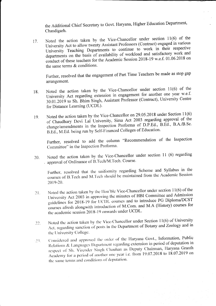the Additional Chief Secretary to Govt. Haryana, Higher Education Department, Chandigarh.

Noted the action taken by the Vice-Chancellor under section 11(6) of the 17. University Act to allow twenty Assistant Professors (Contract) engaged in various University Teaching Departments to continue to work in their respective departments on the basis of availability of workload and satisfactory work and conduct of these teachers for the Academic Session 2018-19 w.e.f. 01.06.2018 on the same terms & conditions.

Further, resolved that the engagement of Part Time Teachers be made as stop gap arrangement.

- Noted the action taken by the Vice-Chancellor under section 11(6) of the 18. University Act regarding extension in engagement for another one year w.e.f. 30.01.2019 to Sh. Bhim Singh, Assistant Professor (Contract), University Centre for Distance Learning (UCDL).
- Noted the action taken by the Vice-Chancellor on 29.05.2018 under Section 11(6) 19. of Chaudhary Devi Lal University, Sirsa Act 2003 regarding approval of the change/amendments in the Inspection Proforma of D.P.Ed., B.Ed., B.A./B.Sc. B.Ed., M.Ed. being run by Self-Financed Colleges of Education.

Further, resolved to add the column "Recommendation of the Inspection Committee" in the Inspection Proforma.

Noted the action taken by the Vice-Chancellor under section 11 (6) regarding 20. approval of Ordinance of B.Tech/M.Tech. Course.

Further, resolved that the uniformity regarding Scheme and Syllabus in the courses of B.Tech and M.Tech should be maintained from the Academic Session 2019-20.

- Noted the action taken by the Hon'ble Vice-Chancellor under section 11(6) of the  $21.$ University Act 2003 in approving the minutes of HBI Committee and Admission guidelines for 2018-19 for UCDL courses and to introduce PG Diploma/DCST courses afresh alongwith introduction of M.Com. and M.A (History) courses for the academic session 2018-19 onwards under UCDL.
- Noted the action taken by the Vice-Chancellor under Section 11(6) of University  $22.$ Act, regarding sanction of posts in the Department of Botany and Zoology and in the University College.
- Considered and approved the order of the Haryana Govt., Information, Public  $-23.$ Relations & Languages Department regarding extension in period of deputation in respect of Sh. Virender Singh Chauhan as Deputy Chairman, Haryana Granth Academy for a period of another one year i.e. from 19.07.2018 to 18.07.2019 on the same terms and conditions of deputation.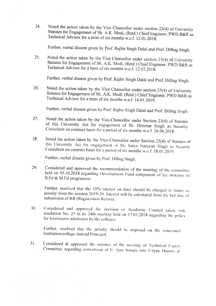24. Noted the action taken by the Vice Chancellor under section 23(4) of University<br>Statutes for Engagement of Sh. A.K. Modi, (Retd.) Chief Engineer, PWD B&R as<br>Technical Advisor for a term of six months w.e.f. 12.01.2018. ) Chief Eng

Further, verbal dissent given by Prof. Rajbir Singh Dalal and prof. Dilbag Singh.

25, Noted the action taken by the Vice Chancellor under section 23(4) of University Statutes for Engagement of Sh. A.K. Modi, (Retd.) Chief Engineer, PWD B&R as Technical Advisor for a term of six months w.e.f. 12.07.2018.

Further, verbal dissent given by Prof. Rajbir Singh Dalal and prof. Dilbag Singh.

26. Noted the action taken by the Vice Chancellor under section 23(4) of University Statutes for Engagement of Sh. A.K. Modi, (Retd.) Chief Engineer, PWD B&R as Technical Advisor for a term of six months w.e.f. 14.01.2019.

Further, verbal dissent given by Prof. Rajbir Singh Dalal and Prof. Dilbag Singh.

- Noted the action taken by the Vice-Chancellor under Section 23(4) of Statutes of this University Act for engagement of Sh. Himmat Singh as Security Consultant on contract basis for a period of six months w.e.f. 26.06.2018. 27.
- Noted the action taken by the Vice-Chancellor under Section 23(4) of Statutes of this University Act for engagement of Sh. Satya Narayan Singh as Security Consultant on contract basis for a period of six months w.e.f. 18.0 28.

Further, verbal dissent given by Prof. Dilbag Singh.

Considered and approved the recommendation of the meeting of the committee held on 05.10.2018 regarding Development Fund component of fee structure of B.Ed & M.Ed programme. 29.

Further, resolved that the 10% interest on dues should be charged in future as penalty from the session 2019-20. Interest will be calculated from the last date of submission of RR (Registration Return).

Considered and approved the decision of Academic Council taken vide<br>resolution No. 25 in its 24th meeting held on 17.03.2018 regarding the policy for less/excess admission by the colleges. 30.

Further, resolved that the penalty should be imposed on the concerned Institution/college instead Principal.

Considered & approved the minutes of the meeting of Technical Expert Committee regarding conversion of E- type houses into F-type Houses at 31.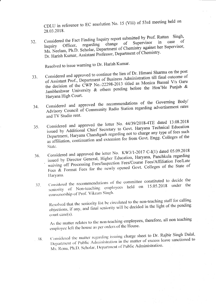CDLU in reference to EC resolution No. 15 (Viii) of 53rd meeting held on 28.03.2018.

Considered the Fact Finding Inquiry report submitted by Prof. Rattan Singh, of  $32.$ Supervisor change of regarding Ms. Neelam, Ph.D. Scholar, Department of Chemistry against her Supervisor, Officer. Dr. Harish Kumar, Assistant Professor, Department of Chemistry.

Resolved to issue warning to Dr. Harish Kumar.

- Considered and approved to continue the lien of Dr. Himani Sharma on the post of Assistant Prof., Department of Business Administration till final outcome of 33. the decision of the CWP No.-22298-2013 titled as Monica Bansal V/s Guru Jambheshwar University & others pending before the Hon'ble Punjab & Haryana High Court.
- Considered and approved the recommendations of the Governing Body/ Advisory Council of Community Radio Station regarding advertisement rates 34. and TV Studio rent.
- Considered and approved the letter No. 44/39/2018-4TE dated 13.08.2018 issued by Additional Chief Secretary to Govt. Haryana Technical Education 35. Department, Haryana Chandigarh regarding not to charge any type of fees such as affiliation, continuation and extension fee from Govt. Engg. Colleges of the State.
- Considered and approved the letter No. KW3/1-2017 C-I(1) dated 05.09.2018 issued by Director General, Higher Education, Haryana, Panchkula regarding 36. waiving off Processing Fees/Inspection Fees/Course Fees/Affiliation Fee/Late Fees  $\&$  Format Fees for the newly opened Govt. Colleges of the State of Haryana.
- Considered the recommendations of the committee constituted to decide the seniority of Non-teaching employees held on 15.05.2018 under the 37. convenorship of Prof. Vikram Singh.

Resolved that the seniority list be circulated to the non-teaching staff for calling objections, if any, and final seniority will be decided in the light of the pending court case(s).

As the matter relates to the non-teaching employees, therefore, all non teaching employee left the house as per orders of the House.

Considered the matter regarding issuing charge sheet to Dr. Rajbir Singh Dalal, Department of Public Administration in the matter of excess leave sanctioned to  $-38.$ Ms. Renu, Ph.D. Scholar, Department of Public Administration.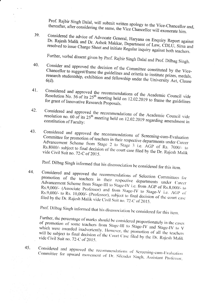Prof. Rajbir Singh Dalal, will submit written apology to the Vice-Chancellor and, thereafter, after considering the same, the Vice Chancellor will exonerate him.

Considered the advice of Advocate General, Haryana on Enquiry Report against 39 Dr. Rajesh Malik and Dr. Ashok Makkar, Department of Law, CDLU, Sirsa and resolved to issue Charge Sheet and initiate Regular inquiry against both teachers.

Further, verbal dissent given by Prof. Rajbir Singh Dalal and Prof. Dilbag Singh.

- Consider and approved the decision of the Committee constituted by the Vice-40. Chancellor to suggest/frame the guidelines and criteria to institute prizes, medals, research studentship, exhibition and fellowship under the University Act, Clause  $6(d)$ .
- Considered and approved the recommendations of the Academic Council vide  $41.$ Resolution No. 56 of its 25<sup>th</sup> meeting held on 12.02.2019 to frame the guidelines for grant of Innovative Research Proposals.
- Considered and approved the recommendations of the Academic Council vide 42. resolution no.  $60$  of its  $25<sup>th</sup>$  meeting held on 12.02.2019 regarding amendment in constitution of Faculty:
- 43. Considered and approved the recommendations of Screening-cum-Evaluation Committee for promotion of teachers in their respective departments under Career Advancement Scheme from Stage 2 to Stage 3 i.e. AGP of Rs. 7000/- to Rs.8000/- subject to final decision of the court case filed by the Dr. Rajesh Malik vide Civil Suit no. 72-C of 2015.

Prof. Dilbag Singh informed that his disassociation be considered for this item.

Considered and approved the recommendations of Selection Committees for 44. promotion of the teachers in their respective departments under Career Advancement Scheme from Stage-III to Stage-IV i.e. from AGP of Rs.8,000/- to Rs.9,000/- (Associate Professor) and from Stage-IV to Stage-V i.e. AGP of Rs.9,000/- to Rs. 10,000/- (Professor), subject to final decision of the court case filed by the Dr. Rajesh Malik vide Civil Suit no. 72-C of 2015.

Prof. Dilbag Singh informed that his disassociation be considered for this item.

Further, the percentage of marks should be considered proportionately in the cases of promotion of some teachers from Stage-III to Stage-IV and Stage-IV to V which were awarded inadvertently. However, the promotion of all the teachers will be subject to final decision of the Court Case filed by the Dr. Rajesh Malik vide Civil Suit no. 72-C of 2015.

Considered and approved the recommendations of Screening-cum-Evaluation Committee for upward movement of Dr. Silender Singh, Assistant Professor,

45.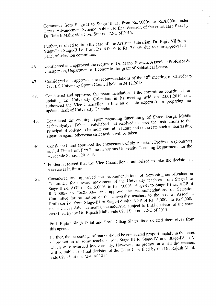Commerce from Stage-II to Stage-III i.e. from Rs.7,000/- to Rs.8,000/- under Career Advancement Scheme, subject to final decision of the court case filed by Dr. Rajesh Malik vide Civil Suit no. 72-C of 2015.

Further, resolved to drop the case of one Assistant Librarian, Dr. Rajiv Vij from Stage-I to Stage-II i.e. from Rs. 6,000/- to Rs. 7,000/- due to non-approval of panel of selection committee.

- Considered and approved the request of Dr. Manoj Siwach, Associate Professor & Chairperson, Department of Economics for grant of Sabbatical Leave. 46.
- Considered and approved the recommendations of the 18<sup>th</sup> meeting of Chaudhary Devi Lal University Sports Council held on 24.12.2018. 47.
- Considered and approved the recommendation of the committee constituted for updating the University Calendars in its meeting held on 23.01.2019 and 48. authorized the Vice-Chancellor to hire an outside expert(s) for preparing the updated draft of University Calendars.
- Considered the enquiry report regarding functioning of Shree Durga Mahila Mahavidyalya, Tohana, Fatehabad and resolved to issue the instructions to the 49. Principal of college to be more careful in future and not create such embarrassing situation again, otherwise strict action will be taken.
- Considered and approved the engagement of six Assistant Professors (Contract) as Full Time from Part Time in various University Teaching Departments for the 50. Academic Session 2018-19.

Further, resolved that the Vice Chancellor is authorized to take the decision in such cases in future.

Considered and approved the recommendations of Screening-cum-Evaluation Committee for upward movement of the University teachers from Stage-I to  $51.$ Stage-II i.e. AGP of Rs. 6,000/- to Rs. 7,000/-, Stage-II to Stage-III i.e. AGP of Rs.7,000/- to Rs.8,000/- and approve the recommendations of Selection Committee for promotion of the University teachers to the post of Associate Professor i.e. from Stage-III to Stage-IV with AGP of Rs. 8,000/- to Rs.9,000/under Career Advancement Scheme(CAS), subject to final decision of the court case filed by the Dr. Rajesh Malik vide Civil Suit no. 72-C of 2015.

Prof. Rajbir Singh Dalal and Prof. Dilbag Singh disassociated themselves from this agenda.

Further, the percentage of marks should be considered proportionately in the cases of promotion of some teachers from Stage-III to Stage-IV and Stage-IV to V which were awarded inadvertently. However, the promotion of all the teachers will be subject to final decision of the Court Case filed by the Dr. Rajesh Malik vide Civil Suit no. 72-C of 2015.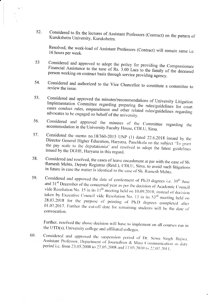Considered to fix the lectures of Assistant Professors (Contract) on the pattern of 52. Kurukshetra University, Kurukshetra.

Resolved, the work-load of Assistant Professors (Contract) will remain same i.e. 16 hours per week.

- Considered and approved to adopt the policy for providing the Compassionate 53 Financial Assistance to the tune of Rs. 3.00 Lacs to the family of the deceased person working on contract basis through service providing agency.
- 54. Considered and authorized to the Vice Chancellor to constitute a committee to review the issue.
- Considered and approved the minutes/recommendations of University Litigation 55. Implementation Committee regarding preparing the rules/guidelines for court cases conduct rules, empanelment and other related rules/guidelines regarding advocates to be engaged on behalf of the university.
- Considered and approved the minutes of the Committee regarding the 56. accommodation in the University Faculty House, CDLU, Sirsa.
- Considered the memo no.18/360-2015 UNP (1) dated 22.6.2018 issued by the 57. Director General Higher Education, Haryana, Panchkula on the subject 'To grant the pay scale to the deputationist' and resolved to adopt the latest guidelines issued by the DGHE, Haryana in this regard.
- Considered and resolved, the cases of leave encashment at par with the case of Sh. 58. 'Ramesh Mehta, Deputy Registrar (Retd.), CDLU, Sirsa, to avoid such litigations in future in case the matter is identical to the case of Sh. Ramesh Mehta.
- 59. Considered and approved the date of conferment of Ph.D degrees i.e. 30<sup>th</sup> June and 31<sup>st</sup> December of the concerned year as per the decision of Academic Council vide Resolution No. 15 in its  $11<sup>th</sup>$  meeting held on 10.09.2010, instead of decision taken by Executive Council vide Resolution No. 13 in its  $53<sup>rd</sup>$  meeting held on 28.03.2018 for the purpose of printing of Ph.D degrees completed after 01.07.2017. Further the cut-off date for remaining students will be the date of convocation.

Further, resolved the above decision will have to implement on all courses run in the UTD(s), University college and affiliated colleges.

Considered and approved the suspension period of Dr. Sewa Singh Bajwa, 60. Assistant Professor, Department of Journalism & Mass Communication as duty period i.e. from 23.05.2008 to 27.05.2008 and 17.05.2010 to 22.07.2011.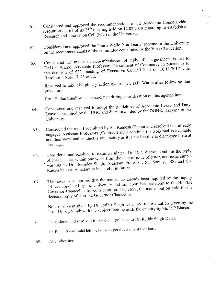- Considered and approved the recommendations of the Academic Council vide 61. resolution no. 61 of its  $25<sup>th</sup>$  meeting held on 12.02.2019 regarding to establish a Research and Innovation Cell (RIC) in the University.
- Considered and approved the "Earn While You Learn" scheme in the University on the recommendations of the committee constituted by the Vice-Chancellor. 62.
- Considered the matter of non-submission of reply of charge-sheets issued to Dr.D.P. Warne, Associate Professor, Department of Commerce in pursuance to 63. the decision of  $52^{nd}$  meeting of Executive Council held on 16.11.2017 vide Resolution Nos. 17, 21 & 22.

Resolved to take disciplinary action against Dr. D.P. Warne after following due procedure.

Prof. Sultan Singh was disassociated during consideration on this agenda item.

- Considered and resolved to adopt the guidelines of Academic Leave and Duty Leave as supplied by the UGC and duly forwarded by the DGHE, Haryana to the 64. University.
- Considered the report submitted by Sh. Ramesh Chopra and resolved that already engaged Assistant Professors (Contract) shall continue till workload is available 65. and their work and conduct is satisfactory as it is not feasible to disengage them at this stage.
- Considered and resolved to issue warning to Dr. D.P. Warne to submit the reply of charge-sheet within one week from the date of issue of letter, and issue simple 66. warning to Dr. Surinder Singh, Assistant Professor, Sh. Sanjay, JSS, and Sh. Rajesh Kumar, Assistant to be careful in future.
- The house was apprised that the matter has already been inquired by the Inquiry Officer appointed by the University and the report has been sent to the Hon'ble 67. Governor-Chancellor for consideration. Therefore, the matter put on hold till the decision/reply of Hon'ble Governor Chancellor.

Note of dissent given by Dr. Rajbir Singh Dalal and representation given by the Prof. Dilbag Singh with the subject "setting aside the enquiry by Sh. R.P Bhasin.

Considered and resolved to issue charge-sheet to Dr. Rajbir Singh Dalal. 68.

Dr. Rajbir Singh Dalal left the house as per directions of the House.

Any other item  $69.$